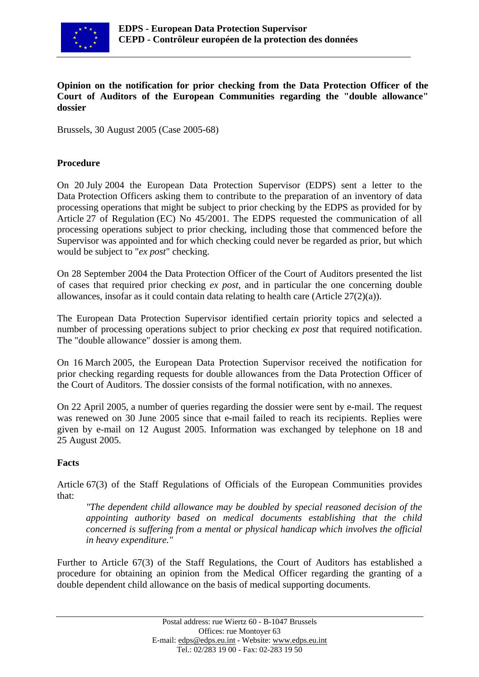

### **Opinion on the notification for prior checking from the Data Protection Officer of the Court of Auditors of the European Communities regarding the "double allowance" dossier**

Brussels, 30 August 2005 (Case 2005-68)

### **Procedure**

On 20 July 2004 the European Data Protection Supervisor (EDPS) sent a letter to the Data Protection Officers asking them to contribute to the preparation of an inventory of data processing operations that might be subject to prior checking by the EDPS as provided for by Article 27 of Regulation (EC) No 45/2001. The EDPS requested the communication of all processing operations subject to prior checking, including those that commenced before the Supervisor was appointed and for which checking could never be regarded as prior, but which would be subject to "*ex post*" checking.

On 28 September 2004 the Data Protection Officer of the Court of Auditors presented the list of cases that required prior checking *ex post*, and in particular the one concerning double allowances, insofar as it could contain data relating to health care (Article 27(2)(a)).

The European Data Protection Supervisor identified certain priority topics and selected a number of processing operations subject to prior checking *ex post* that required notification. The "double allowance" dossier is among them.

On 16 March 2005, the European Data Protection Supervisor received the notification for prior checking regarding requests for double allowances from the Data Protection Officer of the Court of Auditors. The dossier consists of the formal notification, with no annexes.

On 22 April 2005, a number of queries regarding the dossier were sent by e-mail. The request was renewed on 30 June 2005 since that e-mail failed to reach its recipients. Replies were given by e-mail on 12 August 2005. Information was exchanged by telephone on 18 and 25 August 2005.

### **Facts**

Article 67(3) of the Staff Regulations of Officials of the European Communities provides that:

*"The dependent child allowance may be doubled by special reasoned decision of the appointing authority based on medical documents establishing that the child concerned is suffering from a mental or physical handicap which involves the official in heavy expenditure."*

Further to Article 67(3) of the Staff Regulations, the Court of Auditors has established a procedure for obtaining an opinion from the Medical Officer regarding the granting of a double dependent child allowance on the basis of medical supporting documents.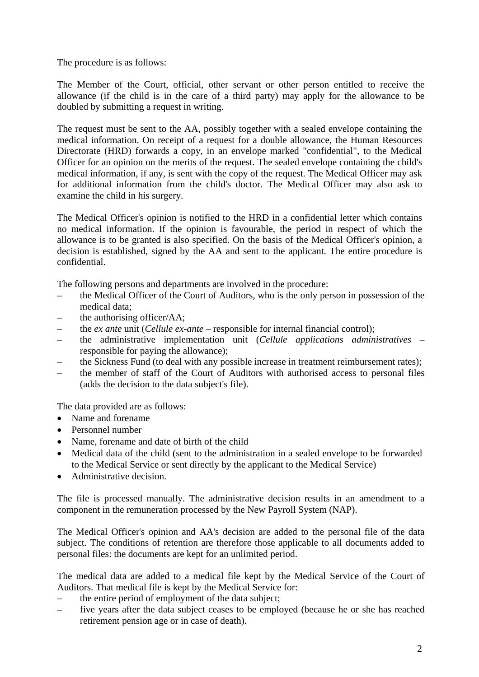The procedure is as follows:

The Member of the Court, official, other servant or other person entitled to receive the allowance (if the child is in the care of a third party) may apply for the allowance to be doubled by submitting a request in writing.

The request must be sent to the AA, possibly together with a sealed envelope containing the medical information. On receipt of a request for a double allowance, the Human Resources Directorate (HRD) forwards a copy, in an envelope marked "confidential", to the Medical Officer for an opinion on the merits of the request. The sealed envelope containing the child's medical information, if any, is sent with the copy of the request. The Medical Officer may ask for additional information from the child's doctor. The Medical Officer may also ask to examine the child in his surgery.

The Medical Officer's opinion is notified to the HRD in a confidential letter which contains no medical information. If the opinion is favourable, the period in respect of which the allowance is to be granted is also specified. On the basis of the Medical Officer's opinion, a decision is established, signed by the AA and sent to the applicant. The entire procedure is confidential.

The following persons and departments are involved in the procedure:

- the Medical Officer of the Court of Auditors, who is the only person in possession of the medical data;
- the authorising officer/AA;
- the *ex ante* unit (*Cellule ex-ante* responsible for internal financial control);
- the administrative implementation unit (*Cellule applications administratives* responsible for paying the allowance);
- the Sickness Fund (to deal with any possible increase in treatment reimbursement rates);
- the member of staff of the Court of Auditors with authorised access to personal files (adds the decision to the data subject's file).

The data provided are as follows:

- Name and forename
- Personnel number
- Name, forename and date of birth of the child
- Medical data of the child (sent to the administration in a sealed envelope to be forwarded to the Medical Service or sent directly by the applicant to the Medical Service)
- Administrative decision.

The file is processed manually. The administrative decision results in an amendment to a component in the remuneration processed by the New Payroll System (NAP).

The Medical Officer's opinion and AA's decision are added to the personal file of the data subject. The conditions of retention are therefore those applicable to all documents added to personal files: the documents are kept for an unlimited period.

The medical data are added to a medical file kept by the Medical Service of the Court of Auditors. That medical file is kept by the Medical Service for:

- the entire period of employment of the data subject;
- five years after the data subject ceases to be employed (because he or she has reached retirement pension age or in case of death).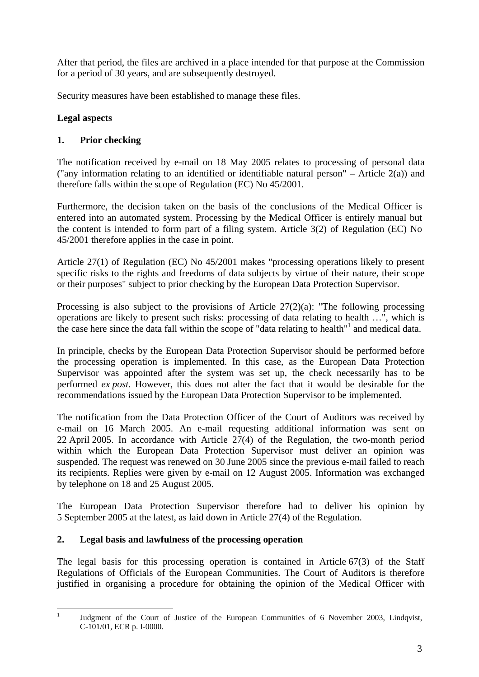After that period, the files are archived in a place intended for that purpose at the Commission for a period of 30 years, and are subsequently destroyed.

Security measures have been established to manage these files.

# **Legal aspects**

# **1. Prior checking**

The notification received by e-mail on 18 May 2005 relates to processing of personal data ("any information relating to an identified or identifiable natural person" – Article  $2(a)$ ) and therefore falls within the scope of Regulation (EC) No 45/2001.

Furthermore, the decision taken on the basis of the conclusions of the Medical Officer is entered into an automated system. Processing by the Medical Officer is entirely manual but the content is intended to form part of a filing system. Article 3(2) of Regulation (EC) No 45/2001 therefore applies in the case in point.

Article 27(1) of Regulation (EC) No 45/2001 makes "processing operations likely to present specific risks to the rights and freedoms of data subjects by virtue of their nature, their scope or their purposes" subject to prior checking by the European Data Protection Supervisor.

Processing is also subject to the provisions of Article 27(2)(a): "The following processing operations are likely to present such risks: processing of data relating to health …", which is the case here since the data fall within the scope of "data relating to health"<sup>[1](#page-2-0)</sup> and medical data.

In principle, checks by the European Data Protection Supervisor should be performed before the processing operation is implemented. In this case, as the European Data Protection Supervisor was appointed after the system was set up, the check necessarily has to be performed *ex post*. However, this does not alter the fact that it would be desirable for the recommendations issued by the European Data Protection Supervisor to be implemented.

The notification from the Data Protection Officer of the Court of Auditors was received by e-mail on 16 March 2005. An e-mail requesting additional information was sent on 22 April 2005. In accordance with Article 27(4) of the Regulation, the two-month period within which the European Data Protection Supervisor must deliver an opinion was suspended. The request was renewed on 30 June 2005 since the previous e-mail failed to reach its recipients. Replies were given by e-mail on 12 August 2005. Information was exchanged by telephone on 18 and 25 August 2005.

The European Data Protection Supervisor therefore had to deliver his opinion by 5 September 2005 at the latest, as laid down in Article 27(4) of the Regulation.

# **2. Legal basis and lawfulness of the processing operation**

The legal basis for this processing operation is contained in Article 67(3) of the Staff Regulations of Officials of the European Communities. The Court of Auditors is therefore justified in organising a procedure for obtaining the opinion of the Medical Officer with

<span id="page-2-0"></span> $\mathbf{1}$ 

<sup>1</sup> Judgment of the Court of Justice of the European Communities of 6 November 2003, Lindqvist, C-101/01, ECR p. I-0000.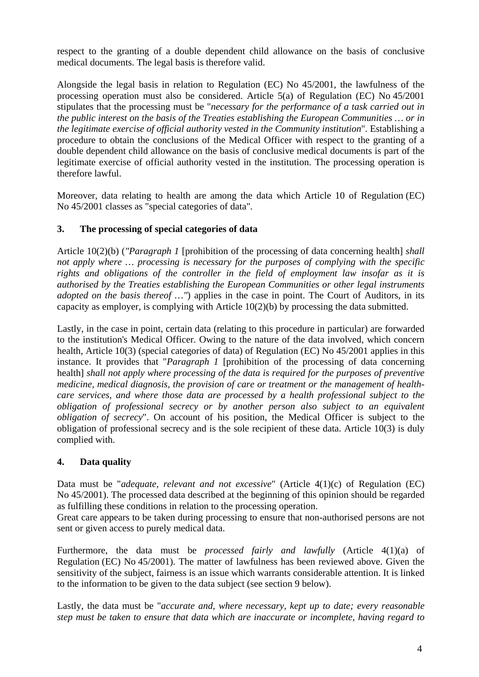respect to the granting of a double dependent child allowance on the basis of conclusive medical documents. The legal basis is therefore valid.

Alongside the legal basis in relation to Regulation (EC) No 45/2001, the lawfulness of the processing operation must also be considered. Article 5(a) of Regulation (EC) No 45/2001 stipulates that the processing must be "*necessary for the performance of a task carried out in the public interest on the basis of the Treaties establishing the European Communities … or in the legitimate exercise of official authority vested in the Community institution*". Establishing a procedure to obtain the conclusions of the Medical Officer with respect to the granting of a double dependent child allowance on the basis of conclusive medical documents is part of the legitimate exercise of official authority vested in the institution. The processing operation is therefore lawful.

Moreover, data relating to health are among the data which Article 10 of Regulation (EC) No 45/2001 classes as "special categories of data".

### **3. The processing of special categories of data**

Article 10(2)(b) (*"Paragraph 1* [prohibition of the processing of data concerning health] *shall not apply where … processing is necessary for the purposes of complying with the specific rights and obligations of the controller in the field of employment law insofar as it is authorised by the Treaties establishing the European Communities or other legal instruments adopted on the basis thereof ...* "*n* applies in the case in point. The Court of Auditors, in its capacity as employer, is complying with Article 10(2)(b) by processing the data submitted.

Lastly, in the case in point, certain data (relating to this procedure in particular) are forwarded to the institution's Medical Officer. Owing to the nature of the data involved, which concern health, Article 10(3) (special categories of data) of Regulation (EC) No 45/2001 applies in this instance. It provides that "*Paragraph 1* [prohibition of the processing of data concerning health] *shall not apply where processing of the data is required for the purposes of preventive medicine, medical diagnosis, the provision of care or treatment or the management of healthcare services, and where those data are processed by a health professional subject to the obligation of professional secrecy or by another person also subject to an equivalent obligation of secrecy*". On account of his position, the Medical Officer is subject to the obligation of professional secrecy and is the sole recipient of these data. Article 10(3) is duly complied with.

# **4. Data quality**

Data must be "*adequate, relevant and not excessive*" (Article 4(1)(c) of Regulation (EC) No 45/2001). The processed data described at the beginning of this opinion should be regarded as fulfilling these conditions in relation to the processing operation.

Great care appears to be taken during processing to ensure that non-authorised persons are not sent or given access to purely medical data.

Furthermore, the data must be *processed fairly and lawfully* (Article 4(1)(a) of Regulation (EC) No 45/2001). The matter of lawfulness has been reviewed above. Given the sensitivity of the subject, fairness is an issue which warrants considerable attention. It is linked to the information to be given to the data subject (see section 9 below).

Lastly, the data must be "*accurate and, where necessary, kept up to date; every reasonable step must be taken to ensure that data which are inaccurate or incomplete, having regard to*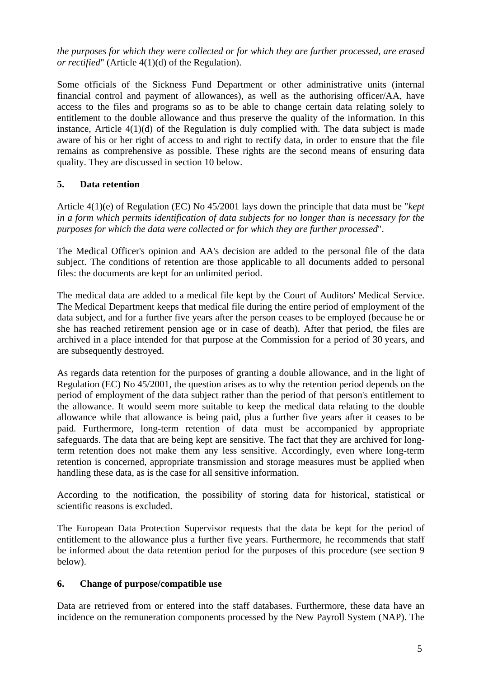*the purposes for which they were collected or for which they are further processed, are erased or rectified*" (Article 4(1)(d) of the Regulation).

Some officials of the Sickness Fund Department or other administrative units (internal financial control and payment of allowances), as well as the authorising officer/AA, have access to the files and programs so as to be able to change certain data relating solely to entitlement to the double allowance and thus preserve the quality of the information. In this instance, Article 4(1)(d) of the Regulation is duly complied with. The data subject is made aware of his or her right of access to and right to rectify data, in order to ensure that the file remains as comprehensive as possible. These rights are the second means of ensuring data quality. They are discussed in section 10 below.

# **5. Data retention**

Article 4(1)(e) of Regulation (EC) No 45/2001 lays down the principle that data must be "*kept in a form which permits identification of data subjects for no longer than is necessary for the purposes for which the data were collected or for which they are further processed*".

The Medical Officer's opinion and AA's decision are added to the personal file of the data subject. The conditions of retention are those applicable to all documents added to personal files: the documents are kept for an unlimited period.

The medical data are added to a medical file kept by the Court of Auditors' Medical Service. The Medical Department keeps that medical file during the entire period of employment of the data subject, and for a further five years after the person ceases to be employed (because he or she has reached retirement pension age or in case of death). After that period, the files are archived in a place intended for that purpose at the Commission for a period of 30 years, and are subsequently destroyed.

As regards data retention for the purposes of granting a double allowance, and in the light of Regulation (EC) No 45/2001, the question arises as to why the retention period depends on the period of employment of the data subject rather than the period of that person's entitlement to the allowance. It would seem more suitable to keep the medical data relating to the double allowance while that allowance is being paid, plus a further five years after it ceases to be paid. Furthermore, long-term retention of data must be accompanied by appropriate safeguards. The data that are being kept are sensitive. The fact that they are archived for longterm retention does not make them any less sensitive. Accordingly, even where long-term retention is concerned, appropriate transmission and storage measures must be applied when handling these data, as is the case for all sensitive information.

According to the notification, the possibility of storing data for historical, statistical or scientific reasons is excluded.

The European Data Protection Supervisor requests that the data be kept for the period of entitlement to the allowance plus a further five years. Furthermore, he recommends that staff be informed about the data retention period for the purposes of this procedure (see section 9 below).

### **6. Change of purpose/compatible use**

Data are retrieved from or entered into the staff databases. Furthermore, these data have an incidence on the remuneration components processed by the New Payroll System (NAP). The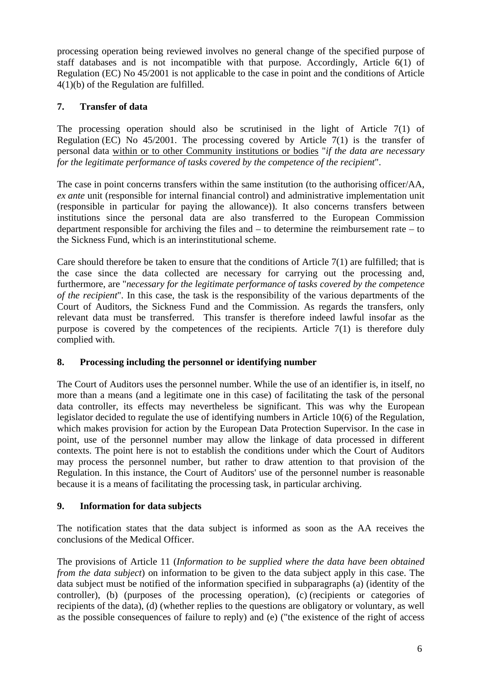processing operation being reviewed involves no general change of the specified purpose of staff databases and is not incompatible with that purpose. Accordingly, Article 6(1) of Regulation (EC) No 45/2001 is not applicable to the case in point and the conditions of Article 4(1)(b) of the Regulation are fulfilled.

### **7. Transfer of data**

The processing operation should also be scrutinised in the light of Article 7(1) of Regulation (EC) No 45/2001. The processing covered by Article 7(1) is the transfer of personal data within or to other Community institutions or bodies "*if the data are necessary for the legitimate performance of tasks covered by the competence of the recipient*".

The case in point concerns transfers within the same institution (to the authorising officer/AA, *ex ante* unit (responsible for internal financial control) and administrative implementation unit (responsible in particular for paying the allowance)). It also concerns transfers between institutions since the personal data are also transferred to the European Commission department responsible for archiving the files and – to determine the reimbursement rate – to the Sickness Fund, which is an interinstitutional scheme.

Care should therefore be taken to ensure that the conditions of Article 7(1) are fulfilled; that is the case since the data collected are necessary for carrying out the processing and, furthermore, are "*necessary for the legitimate performance of tasks covered by the competence of the recipient*"*.* In this case, the task is the responsibility of the various departments of the Court of Auditors, the Sickness Fund and the Commission. As regards the transfers, only relevant data must be transferred. This transfer is therefore indeed lawful insofar as the purpose is covered by the competences of the recipients. Article 7(1) is therefore duly complied with.

### **8. Processing including the personnel or identifying number**

The Court of Auditors uses the personnel number. While the use of an identifier is, in itself, no more than a means (and a legitimate one in this case) of facilitating the task of the personal data controller, its effects may nevertheless be significant. This was why the European legislator decided to regulate the use of identifying numbers in Article 10(6) of the Regulation, which makes provision for action by the European Data Protection Supervisor. In the case in point, use of the personnel number may allow the linkage of data processed in different contexts. The point here is not to establish the conditions under which the Court of Auditors may process the personnel number, but rather to draw attention to that provision of the Regulation. In this instance, the Court of Auditors' use of the personnel number is reasonable because it is a means of facilitating the processing task, in particular archiving.

### **9. Information for data subjects**

The notification states that the data subject is informed as soon as the AA receives the conclusions of the Medical Officer.

The provisions of Article 11 (*Information to be supplied where the data have been obtained from the data subject*) on information to be given to the data subject apply in this case. The data subject must be notified of the information specified in subparagraphs (a) (identity of the controller), (b) (purposes of the processing operation), (c) (recipients or categories of recipients of the data), (d) (whether replies to the questions are obligatory or voluntary, as well as the possible consequences of failure to reply) and (e) ("the existence of the right of access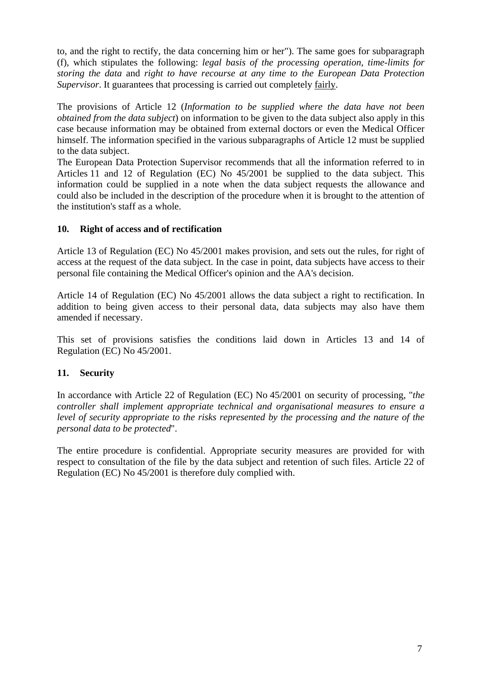to, and the right to rectify, the data concerning him or her"). The same goes for subparagraph (f), which stipulates the following: *legal basis of the processing operation*, *time-limits for storing the data* and *right to have recourse at any time to the European Data Protection Supervisor*. It guarantees that processing is carried out completely fairly.

The provisions of Article 12 (*Information to be supplied where the data have not been obtained from the data subject*) on information to be given to the data subject also apply in this case because information may be obtained from external doctors or even the Medical Officer himself. The information specified in the various subparagraphs of Article 12 must be supplied to the data subject.

The European Data Protection Supervisor recommends that all the information referred to in Articles 11 and 12 of Regulation (EC) No 45/2001 be supplied to the data subject. This information could be supplied in a note when the data subject requests the allowance and could also be included in the description of the procedure when it is brought to the attention of the institution's staff as a whole.

### **10. Right of access and of rectification**

Article 13 of Regulation (EC) No 45/2001 makes provision, and sets out the rules, for right of access at the request of the data subject. In the case in point, data subjects have access to their personal file containing the Medical Officer's opinion and the AA's decision.

Article 14 of Regulation (EC) No 45/2001 allows the data subject a right to rectification. In addition to being given access to their personal data, data subjects may also have them amended if necessary.

This set of provisions satisfies the conditions laid down in Articles 13 and 14 of Regulation (EC) No 45/2001.

# **11. Security**

In accordance with Article 22 of Regulation (EC) No 45/2001 on security of processing, "*the controller shall implement appropriate technical and organisational measures to ensure a level of security appropriate to the risks represented by the processing and the nature of the personal data to be protected*".

The entire procedure is confidential. Appropriate security measures are provided for with respect to consultation of the file by the data subject and retention of such files. Article 22 of Regulation (EC) No 45/2001 is therefore duly complied with.